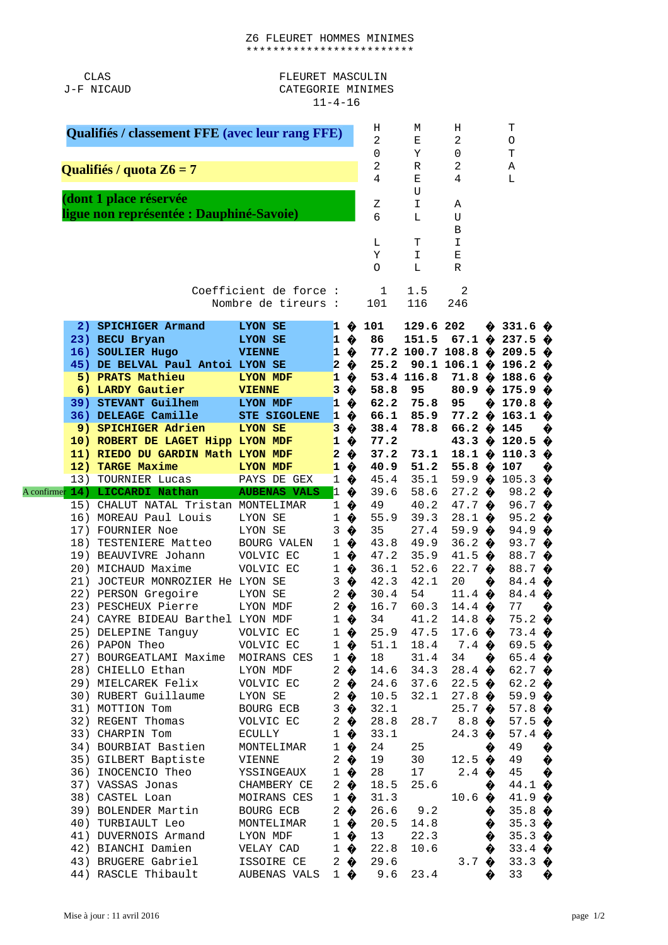CLAS J-F NICAUD

## FLEURET MASCULIN CATEGORIE MINIMES  $11 - 4 - 16$

|                           | Qualifiés / classement FFE (avec leur rang FFE)       |                         |                                         | н<br>$\overline{c}$           | M<br>Е                     | н<br>$\overline{c}$ |                                                       | Т<br>0<br>T |                                                                                                    |        |
|---------------------------|-------------------------------------------------------|-------------------------|-----------------------------------------|-------------------------------|----------------------------|---------------------|-------------------------------------------------------|-------------|----------------------------------------------------------------------------------------------------|--------|
|                           | Qualifiés / quota Z6 = 7                              |                         |                                         |                               | $\Theta$<br>$\overline{c}$ | Υ<br>$\mathsf R$    | 0<br>$\overline{c}$                                   |             | Α                                                                                                  |        |
|                           |                                                       |                         |                                         |                               | $\overline{4}$             | E<br>U              | $\overline{a}$                                        |             | L                                                                                                  |        |
|                           | (dont 1 place réservée                                |                         |                                         |                               | Ζ                          | $\mathbf I$         | Α                                                     |             |                                                                                                    |        |
|                           | ligue non représentée : Dauphiné-Savoie)              |                         |                                         |                               | 6                          | L                   | U                                                     |             |                                                                                                    |        |
|                           |                                                       |                         |                                         |                               | L                          | T                   | B<br>I                                                |             |                                                                                                    |        |
|                           |                                                       |                         |                                         |                               | Υ                          | I                   | E                                                     |             |                                                                                                    |        |
|                           |                                                       |                         |                                         |                               | $\Omega$                   | L                   | R                                                     |             |                                                                                                    |        |
|                           |                                                       | Coefficient de force :  |                                         |                               | 1                          | 1.5                 | $\overline{c}$                                        |             |                                                                                                    |        |
|                           |                                                       | Nombre de tireurs :     |                                         |                               | 101                        | 116                 | 246                                                   |             |                                                                                                    |        |
| 2)                        | <b>SPICHIGER Armand</b>                               | <b>LYON SE</b>          | $\mathbf{1}$                            | ♦                             | 101                        | 129.6 202           |                                                       | ✿           | 331.6 $\diamondsuit$                                                                               |        |
|                           | 23) BECU Bryan                                        | <b>LYON SE</b>          |                                         | $1 \; \hat{\bullet}$          | 86                         | 151.5               |                                                       |             | 67.1 $\hat{\mathbf{\Theta}}$ 237.5 $\hat{\mathbf{\Theta}}$<br>77.2 100.7 108.8 $\phi$ 209.5 $\phi$ |        |
|                           | 16) SOULIER Hugo<br>45) DE BELVAL Paul Antoi LYON SE  | <b>VIENNE</b>           |                                         | $1 \; \bullet$<br>$2 \bullet$ | 25.2                       |                     | 90.1 106.1 $\hat{\bullet}$                            |             | 196.2 $\hat{\bullet}$                                                                              |        |
|                           | 5) PRATS Mathieu                                      | <b>LYON MDF</b>         | $\mathbf{1}$                            | ♦                             |                            | 53.4 116.8          |                                                       |             | 188.6 $\diamondsuit$                                                                               |        |
|                           | 6) LARDY Gautier                                      | <b>VIENNE</b>           | 3                                       | ♦                             | 58.8                       | 95                  | 80.9 $\bullet$                                        |             | 175.9 $\diamondsuit$                                                                               |        |
|                           | 39) STEVANT Guilhem                                   | <b>LYON MDF</b>         | $\mathbf{1}$                            | ♦                             | 62.2                       | 75.8                | 95                                                    | ♦           | 170.8 $\diamondsuit$                                                                               |        |
|                           | 36) DELEAGE Camille                                   | <b>STE SIGOLENE</b>     | $\mathbf{1}$                            | ♦                             | 66.1                       | 85.9                | $77.2 \; \; \; \; \; \; \; \;$                        |             | 163.1                                                                                              | ◈      |
|                           | 9) SPICHIGER Adrien                                   | <b>LYON SE</b>          | 3                                       | ♦                             | 38.4                       | 78.8                | 66.2 $\;$                                             |             | 145                                                                                                | ♦      |
|                           | 10) ROBERT DE LAGET Hipp LYON MDF                     |                         | $\mathbf{1}$<br>$\overline{\mathbf{c}}$ | ♦                             | 77.2<br>37.2               |                     |                                                       |             | 43.3 $\bullet$ 120.5 $\bullet$                                                                     |        |
|                           | 11) RIEDO DU GARDIN Math LYON MDF<br>12) TARGE Maxime | <b>LYON MDF</b>         |                                         | ♦<br>$1 \bullet$              | 40.9                       | 73.1<br>51.2        | 18.1 $\hat{\mathbf{\bullet}}$<br>55.8 $\hat{\bullet}$ |             | 110.3<br>107                                                                                       | ♦<br>♦ |
|                           | 13) TOURNIER Lucas                                    | PAYS DE GEX             |                                         | $1 \bullet$                   | 45.4                       | 35.1                | 59.9 $\bullet$                                        |             | 105.3 $\diamondsuit$                                                                               |        |
| A confirme <mark>r</mark> | 14) LICCARDI Nathan                                   | <b>AUBENAS VALS</b>     | $\mathbf{1}$                            | ♦                             | 39.6                       | 58.6                | $27.2 \; \; \; \; \; \;$                              |             | 98.2 $\bullet$                                                                                     |        |
|                           | 15) CHALUT NATAL Tristan MONTELIMAR                   |                         | $\mathbf{1}$                            | ♦                             | 49                         | 40.2                | 47.7 $\bullet$                                        |             | 96.7 $\bullet$                                                                                     |        |
|                           | 16) MOREAU Paul Louis                                 | LYON SE                 | 1                                       | ♦                             | 55.9                       | 39.3                | $28.1 \; \circ$                                       |             | 95.2 $\bullet$                                                                                     |        |
|                           | 17) FOURNIER Noe                                      | LYON SE                 | 3                                       | ♦                             | 35                         | 27.4                | 59.9 $\diamondsuit$                                   |             | 94.9 $\diamondsuit$                                                                                |        |
| 18)                       | TESTENIERE Matteo                                     | <b>BOURG VALEN</b>      | 1                                       | ♦                             | 43.8                       | 49.9                | 36.2 $\bullet$                                        |             | 93.7 $\bullet$                                                                                     |        |
|                           | 19) BEAUVIVRE Johann<br>20) MICHAUD Maxime            | VOLVIC EC<br>VOLVIC EC  | 1<br>$\mathbf{1}$                       | ♦<br>♦                        | 47.2<br>36.1               | 35.9<br>52.6        | 41.5 $\bullet$<br>22.7 $\bullet$                      |             | 88.7 $\diamondsuit$<br>88.7 $\diamondsuit$                                                         |        |
| 21)                       | JOCTEUR MONROZIER He LYON SE                          |                         | 3                                       | ♦                             | 42.3                       | 42.1                | 20                                                    | ♦           | 84.4 $\diamondsuit$                                                                                |        |
|                           | 22) PERSON Gregoire                                   | LYON SE                 |                                         | $2 \bullet$                   | 30.4                       | 54                  | 11.4 $\diamondsuit$                                   |             | 84.4 $\diamondsuit$                                                                                |        |
|                           | 23) PESCHEUX Pierre                                   | LYON MDF                |                                         | $2 \bullet$                   | 16.7                       | 60.3                | 14.4 $\bullet$                                        |             | 77                                                                                                 | ♦      |
|                           | 24) CAYRE BIDEAU Barthel LYON MDF                     |                         |                                         | $1 \; \bullet$                | 34                         | 41.2                | 14.8 $\diamondsuit$                                   |             | $75.2$ $\diamondsuit$                                                                              |        |
|                           | 25) DELEPINE Tanguy VOLVIC EC                         |                         |                                         | $1 \bullet$                   | 25.9                       | 47.5                | 17.6 $\bullet$                                        |             | $73.4 \; \; \; \; \; \;$                                                                           |        |
|                           | 26) PAPON Theo                                        | VOLVIC EC               |                                         | $1 \bullet$                   | 51.1<br>18                 | 18.4                | $7.4 \; \textcircled{\textbf{2}}$                     |             | 69.5 $\bullet$                                                                                     |        |
|                           | 27) BOURGEATLAMI Maxime<br>28) CHIELLO Ethan          | MOIRANS CES<br>LYON MDF |                                         | $1 \bullet$<br>$2 \bullet$    | 14.6                       | 31.4<br>34.3        | 34<br>28.4 $\bullet$                                  | ♦           | 65.4 $\diamondsuit$<br>62.7 $\bullet$                                                              |        |
|                           | 29) MIELCAREK Felix                                   | VOLVIC EC               |                                         | $2 \bullet$                   |                            | 24.6 37.6           |                                                       |             | 62.2 $\bullet$                                                                                     |        |
|                           | 30) RUBERT Guillaume                                  | LYON SE                 |                                         | $2 \bullet$                   | 10.5                       | 32.1                | 27.8 $\diamondsuit$                                   |             | 59.9 $\diamondsuit$                                                                                |        |
|                           | 31) MOTTION Tom                                       | BOURG ECB               |                                         | $3 \bullet$                   | 32.1                       |                     | $25.7 \; \; \; \; \; \;$                              |             | 57.8 $\diamondsuit$                                                                                |        |
|                           | 32) REGENT Thomas                                     | VOLVIC EC               |                                         | $2 \bullet$                   | 28.8                       | 28.7                | $8.8 \bullet$                                         |             | 57.5 $\bullet$                                                                                     |        |
|                           | 33) CHARPIN Tom                                       | ECULLY                  |                                         | $1 \bullet$                   | 33.1                       |                     | 24.3 $\bullet$                                        |             | 57.4 $\bullet$                                                                                     |        |
|                           | 34) BOURBIAT Bastien<br>35) GILBERT Baptiste          | MONTELIMAR<br>VIENNE    |                                         | $1 \; \bullet$<br>$2 \bullet$ | 24<br>19                   | 25<br>30            | 12.5 $\bullet$                                        | ♦           | 49<br>49 $\bullet$                                                                                 | ♦      |
|                           | 36) INOCENCIO Theo                                    | YSSINGEAUX              |                                         | $1 \bullet$                   | 28                         | 17                  | $2.4 \; \circledast$                                  |             | 45 $\bullet$                                                                                       |        |
|                           | 37) VASSAS Jonas                                      | CHAMBERY CE             |                                         | $2 \bullet$                   | 18.5                       | 25.6                |                                                       | ♦           | 44.1 $\diamond$                                                                                    |        |
|                           |                                                       | MOIRANS CES             |                                         | $1 \bullet$                   | 31.3                       |                     | 10.6 $\bullet$                                        |             | 41.9 $\diamondsuit$                                                                                |        |
|                           | 38) CASTEL Loan                                       |                         |                                         |                               |                            |                     |                                                       |             |                                                                                                    |        |
|                           | 39) BOLENDER Martin                                   | BOURG ECB               |                                         | $2 \bullet$                   | 26.6                       | 9.2                 |                                                       | ♦           | 35.8 $\diamondsuit$                                                                                |        |
|                           | 40) TURBIAULT Leo                                     | MONTELIMAR              |                                         | $1 \; \bullet$                | 20.5                       | 14.8                |                                                       | ♦           | 35.3 $\diamondsuit$                                                                                |        |
|                           | 41) DUVERNOIS Armand                                  | LYON MDF                |                                         | $1 \bullet$                   | 13                         | 22.3                |                                                       | ♦           | $35.3 \; \circ$                                                                                    |        |
|                           | 42) BIANCHI Damien<br>43) BRUGERE Gabriel ISSOIRE CE  | VELAY CAD               |                                         | $1 \bullet$<br>$2 \bullet$    | 22.8<br>29.6               | 10.6                | 3.7 $\diamondsuit$                                    | ♦           | 33.4 $\diamondsuit$<br>33.3 $\diamondsuit$                                                         |        |